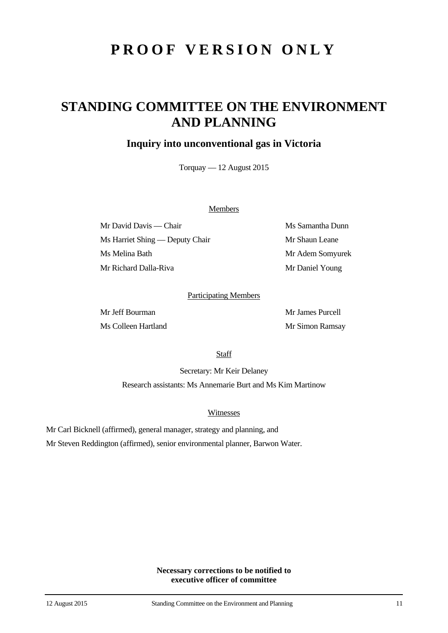# **PROOF VERSION ONLY**

## **STANDING COMMITTEE ON THE ENVIRONMENT AND PLANNING**

### **Inquiry into unconventional gas in Victoria**

Torquay — 12 August 2015

#### Members

Mr David Davis — Chair Ms Samantha Dunn Ms Harriet Shing — Deputy Chair Mr Shaun Leane Ms Melina Bath Mr Adem Somyurek Mr Richard Dalla-Riva Mr Daniel Young

#### Participating Members

Mr Jeff Bourman Mr James Purcell Ms Colleen Hartland Mr Simon Ramsay

**Staff** 

Secretary: Mr Keir Delaney Research assistants: Ms Annemarie Burt and Ms Kim Martinow

Witnesses

Mr Carl Bicknell (affirmed), general manager, strategy and planning, and

Mr Steven Reddington (affirmed), senior environmental planner, Barwon Water.

**Necessary corrections to be notified to executive officer of committee**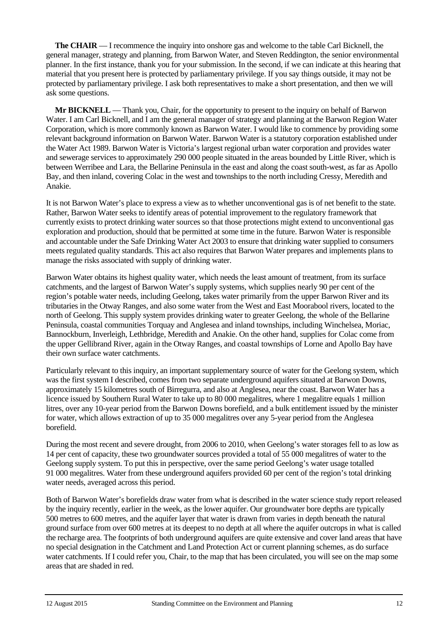**The CHAIR** — I recommence the inquiry into onshore gas and welcome to the table Carl Bicknell, the general manager, strategy and planning, from Barwon Water, and Steven Reddington, the senior environmental planner. In the first instance, thank you for your submission. In the second, if we can indicate at this hearing that material that you present here is protected by parliamentary privilege. If you say things outside, it may not be protected by parliamentary privilege. I ask both representatives to make a short presentation, and then we will ask some questions.

**Mr BICKNELL** — Thank you, Chair, for the opportunity to present to the inquiry on behalf of Barwon Water. I am Carl Bicknell, and I am the general manager of strategy and planning at the Barwon Region Water Corporation, which is more commonly known as Barwon Water. I would like to commence by providing some relevant background information on Barwon Water. Barwon Water is a statutory corporation established under the Water Act 1989. Barwon Water is Victoria's largest regional urban water corporation and provides water and sewerage services to approximately 290 000 people situated in the areas bounded by Little River, which is between Werribee and Lara, the Bellarine Peninsula in the east and along the coast south-west, as far as Apollo Bay, and then inland, covering Colac in the west and townships to the north including Cressy, Meredith and Anakie.

It is not Barwon Water's place to express a view as to whether unconventional gas is of net benefit to the state. Rather, Barwon Water seeks to identify areas of potential improvement to the regulatory framework that currently exists to protect drinking water sources so that those protections might extend to unconventional gas exploration and production, should that be permitted at some time in the future. Barwon Water is responsible and accountable under the Safe Drinking Water Act 2003 to ensure that drinking water supplied to consumers meets regulated quality standards. This act also requires that Barwon Water prepares and implements plans to manage the risks associated with supply of drinking water.

Barwon Water obtains its highest quality water, which needs the least amount of treatment, from its surface catchments, and the largest of Barwon Water's supply systems, which supplies nearly 90 per cent of the region's potable water needs, including Geelong, takes water primarily from the upper Barwon River and its tributaries in the Otway Ranges, and also some water from the West and East Moorabool rivers, located to the north of Geelong. This supply system provides drinking water to greater Geelong, the whole of the Bellarine Peninsula, coastal communities Torquay and Anglesea and inland townships, including Winchelsea, Moriac, Bannockburn, Inverleigh, Lethbridge, Meredith and Anakie. On the other hand, supplies for Colac come from the upper Gellibrand River, again in the Otway Ranges, and coastal townships of Lorne and Apollo Bay have their own surface water catchments.

Particularly relevant to this inquiry, an important supplementary source of water for the Geelong system, which was the first system I described, comes from two separate underground aquifers situated at Barwon Downs, approximately 15 kilometres south of Birregurra, and also at Anglesea, near the coast. Barwon Water has a licence issued by Southern Rural Water to take up to 80 000 megalitres, where 1 megalitre equals 1 million litres, over any 10-year period from the Barwon Downs borefield, and a bulk entitlement issued by the minister for water, which allows extraction of up to 35 000 megalitres over any 5-year period from the Anglesea borefield.

During the most recent and severe drought, from 2006 to 2010, when Geelong's water storages fell to as low as 14 per cent of capacity, these two groundwater sources provided a total of 55 000 megalitres of water to the Geelong supply system. To put this in perspective, over the same period Geelong's water usage totalled 91 000 megalitres. Water from these underground aquifers provided 60 per cent of the region's total drinking water needs, averaged across this period.

Both of Barwon Water's borefields draw water from what is described in the water science study report released by the inquiry recently, earlier in the week, as the lower aquifer. Our groundwater bore depths are typically 500 metres to 600 metres, and the aquifer layer that water is drawn from varies in depth beneath the natural ground surface from over 600 metres at its deepest to no depth at all where the aquifer outcrops in what is called the recharge area. The footprints of both underground aquifers are quite extensive and cover land areas that have no special designation in the Catchment and Land Protection Act or current planning schemes, as do surface water catchments. If I could refer you, Chair, to the map that has been circulated, you will see on the map some areas that are shaded in red.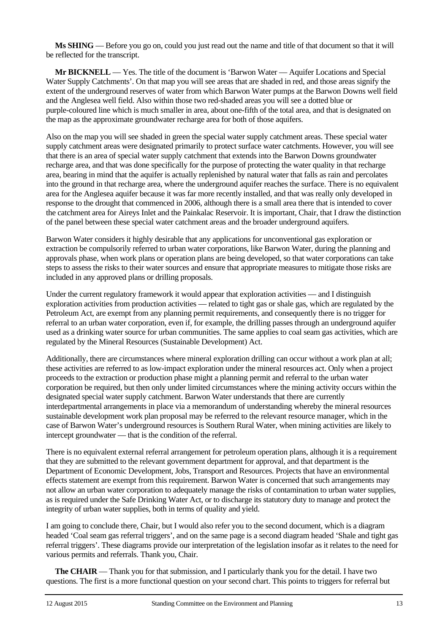**Ms SHING** — Before you go on, could you just read out the name and title of that document so that it will be reflected for the transcript.

**Mr BICKNELL** — Yes. The title of the document is 'Barwon Water — Aquifer Locations and Special Water Supply Catchments'. On that map you will see areas that are shaded in red, and those areas signify the extent of the underground reserves of water from which Barwon Water pumps at the Barwon Downs well field and the Anglesea well field. Also within those two red-shaded areas you will see a dotted blue or purple-coloured line which is much smaller in area, about one-fifth of the total area, and that is designated on the map as the approximate groundwater recharge area for both of those aquifers.

Also on the map you will see shaded in green the special water supply catchment areas. These special water supply catchment areas were designated primarily to protect surface water catchments. However, you will see that there is an area of special water supply catchment that extends into the Barwon Downs groundwater recharge area, and that was done specifically for the purpose of protecting the water quality in that recharge area, bearing in mind that the aquifer is actually replenished by natural water that falls as rain and percolates into the ground in that recharge area, where the underground aquifer reaches the surface. There is no equivalent area for the Anglesea aquifer because it was far more recently installed, and that was really only developed in response to the drought that commenced in 2006, although there is a small area there that is intended to cover the catchment area for Aireys Inlet and the Painkalac Reservoir. It is important, Chair, that I draw the distinction of the panel between these special water catchment areas and the broader underground aquifers.

Barwon Water considers it highly desirable that any applications for unconventional gas exploration or extraction be compulsorily referred to urban water corporations, like Barwon Water, during the planning and approvals phase, when work plans or operation plans are being developed, so that water corporations can take steps to assess the risks to their water sources and ensure that appropriate measures to mitigate those risks are included in any approved plans or drilling proposals.

Under the current regulatory framework it would appear that exploration activities — and I distinguish exploration activities from production activities — related to tight gas or shale gas, which are regulated by the Petroleum Act, are exempt from any planning permit requirements, and consequently there is no trigger for referral to an urban water corporation, even if, for example, the drilling passes through an underground aquifer used as a drinking water source for urban communities. The same applies to coal seam gas activities, which are regulated by the Mineral Resources (Sustainable Development) Act.

Additionally, there are circumstances where mineral exploration drilling can occur without a work plan at all; these activities are referred to as low-impact exploration under the mineral resources act. Only when a project proceeds to the extraction or production phase might a planning permit and referral to the urban water corporation be required, but then only under limited circumstances where the mining activity occurs within the designated special water supply catchment. Barwon Water understands that there are currently interdepartmental arrangements in place via a memorandum of understanding whereby the mineral resources sustainable development work plan proposal may be referred to the relevant resource manager, which in the case of Barwon Water's underground resources is Southern Rural Water, when mining activities are likely to intercept groundwater — that is the condition of the referral.

There is no equivalent external referral arrangement for petroleum operation plans, although it is a requirement that they are submitted to the relevant government department for approval, and that department is the Department of Economic Development, Jobs, Transport and Resources. Projects that have an environmental effects statement are exempt from this requirement. Barwon Water is concerned that such arrangements may not allow an urban water corporation to adequately manage the risks of contamination to urban water supplies, as is required under the Safe Drinking Water Act, or to discharge its statutory duty to manage and protect the integrity of urban water supplies, both in terms of quality and yield.

I am going to conclude there, Chair, but I would also refer you to the second document, which is a diagram headed 'Coal seam gas referral triggers', and on the same page is a second diagram headed 'Shale and tight gas referral triggers'. These diagrams provide our interpretation of the legislation insofar as it relates to the need for various permits and referrals. Thank you, Chair.

**The CHAIR** — Thank you for that submission, and I particularly thank you for the detail. I have two questions. The first is a more functional question on your second chart. This points to triggers for referral but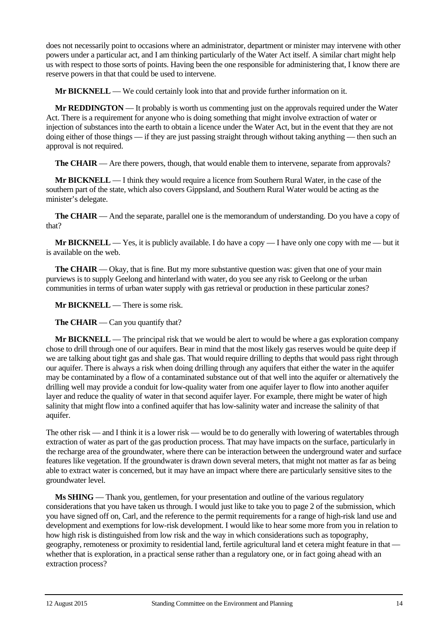does not necessarily point to occasions where an administrator, department or minister may intervene with other powers under a particular act, and I am thinking particularly of the Water Act itself. A similar chart might help us with respect to those sorts of points. Having been the one responsible for administering that, I know there are reserve powers in that that could be used to intervene.

**Mr BICKNELL** — We could certainly look into that and provide further information on it.

**Mr REDDINGTON** — It probably is worth us commenting just on the approvals required under the Water Act. There is a requirement for anyone who is doing something that might involve extraction of water or injection of substances into the earth to obtain a licence under the Water Act, but in the event that they are not doing either of those things — if they are just passing straight through without taking anything — then such an approval is not required.

**The CHAIR** — Are there powers, though, that would enable them to intervene, separate from approvals?

**Mr BICKNELL** — I think they would require a licence from Southern Rural Water, in the case of the southern part of the state, which also covers Gippsland, and Southern Rural Water would be acting as the minister's delegate.

**The CHAIR** — And the separate, parallel one is the memorandum of understanding. Do you have a copy of that?

**Mr BICKNELL** — Yes, it is publicly available. I do have a copy — I have only one copy with me — but it is available on the web.

**The CHAIR** — Okay, that is fine. But my more substantive question was: given that one of your main purviews is to supply Geelong and hinterland with water, do you see any risk to Geelong or the urban communities in terms of urban water supply with gas retrieval or production in these particular zones?

**Mr BICKNELL** — There is some risk.

**The CHAIR** — Can you quantify that?

**Mr BICKNELL** — The principal risk that we would be alert to would be where a gas exploration company chose to drill through one of our aquifers. Bear in mind that the most likely gas reserves would be quite deep if we are talking about tight gas and shale gas. That would require drilling to depths that would pass right through our aquifer. There is always a risk when doing drilling through any aquifers that either the water in the aquifer may be contaminated by a flow of a contaminated substance out of that well into the aquifer or alternatively the drilling well may provide a conduit for low-quality water from one aquifer layer to flow into another aquifer layer and reduce the quality of water in that second aquifer layer. For example, there might be water of high salinity that might flow into a confined aquifer that has low-salinity water and increase the salinity of that aquifer.

The other risk — and I think it is a lower risk — would be to do generally with lowering of watertables through extraction of water as part of the gas production process. That may have impacts on the surface, particularly in the recharge area of the groundwater, where there can be interaction between the underground water and surface features like vegetation. If the groundwater is drawn down several meters, that might not matter as far as being able to extract water is concerned, but it may have an impact where there are particularly sensitive sites to the groundwater level.

**Ms SHING** — Thank you, gentlemen, for your presentation and outline of the various regulatory considerations that you have taken us through. I would just like to take you to page 2 of the submission, which you have signed off on, Carl, and the reference to the permit requirements for a range of high-risk land use and development and exemptions for low-risk development. I would like to hear some more from you in relation to how high risk is distinguished from low risk and the way in which considerations such as topography, geography, remoteness or proximity to residential land, fertile agricultural land et cetera might feature in that whether that is exploration, in a practical sense rather than a regulatory one, or in fact going ahead with an extraction process?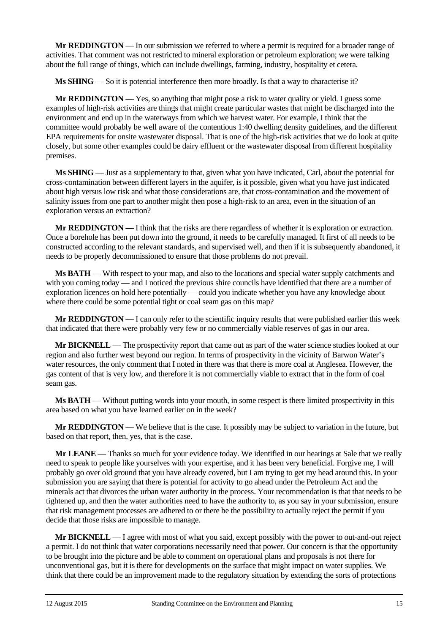**Mr REDDINGTON** — In our submission we referred to where a permit is required for a broader range of activities. That comment was not restricted to mineral exploration or petroleum exploration; we were talking about the full range of things, which can include dwellings, farming, industry, hospitality et cetera.

**Ms SHING** — So it is potential interference then more broadly. Is that a way to characterise it?

**Mr REDDINGTON** — Yes, so anything that might pose a risk to water quality or yield. I guess some examples of high-risk activities are things that might create particular wastes that might be discharged into the environment and end up in the waterways from which we harvest water. For example, I think that the committee would probably be well aware of the contentious 1:40 dwelling density guidelines, and the different EPA requirements for onsite wastewater disposal. That is one of the high-risk activities that we do look at quite closely, but some other examples could be dairy effluent or the wastewater disposal from different hospitality premises.

**Ms SHING** — Just as a supplementary to that, given what you have indicated, Carl, about the potential for cross-contamination between different layers in the aquifer, is it possible, given what you have just indicated about high versus low risk and what those considerations are, that cross-contamination and the movement of salinity issues from one part to another might then pose a high-risk to an area, even in the situation of an exploration versus an extraction?

**Mr REDDINGTON** — I think that the risks are there regardless of whether it is exploration or extraction. Once a borehole has been put down into the ground, it needs to be carefully managed. It first of all needs to be constructed according to the relevant standards, and supervised well, and then if it is subsequently abandoned, it needs to be properly decommissioned to ensure that those problems do not prevail.

**Ms BATH** — With respect to your map, and also to the locations and special water supply catchments and with you coming today — and I noticed the previous shire councils have identified that there are a number of exploration licences on hold here potentially — could you indicate whether you have any knowledge about where there could be some potential tight or coal seam gas on this map?

**Mr REDDINGTON** — I can only refer to the scientific inquiry results that were published earlier this week that indicated that there were probably very few or no commercially viable reserves of gas in our area.

**Mr BICKNELL** — The prospectivity report that came out as part of the water science studies looked at our region and also further west beyond our region. In terms of prospectivity in the vicinity of Barwon Water's water resources, the only comment that I noted in there was that there is more coal at Anglesea. However, the gas content of that is very low, and therefore it is not commercially viable to extract that in the form of coal seam gas.

**Ms BATH** — Without putting words into your mouth, in some respect is there limited prospectivity in this area based on what you have learned earlier on in the week?

**Mr REDDINGTON** — We believe that is the case. It possibly may be subject to variation in the future, but based on that report, then, yes, that is the case.

**Mr LEANE** — Thanks so much for your evidence today. We identified in our hearings at Sale that we really need to speak to people like yourselves with your expertise, and it has been very beneficial. Forgive me, I will probably go over old ground that you have already covered, but I am trying to get my head around this. In your submission you are saying that there is potential for activity to go ahead under the Petroleum Act and the minerals act that divorces the urban water authority in the process. Your recommendation is that that needs to be tightened up, and then the water authorities need to have the authority to, as you say in your submission, ensure that risk management processes are adhered to or there be the possibility to actually reject the permit if you decide that those risks are impossible to manage.

**Mr BICKNELL** — I agree with most of what you said, except possibly with the power to out-and-out reject a permit. I do not think that water corporations necessarily need that power. Our concern is that the opportunity to be brought into the picture and be able to comment on operational plans and proposals is not there for unconventional gas, but it is there for developments on the surface that might impact on water supplies. We think that there could be an improvement made to the regulatory situation by extending the sorts of protections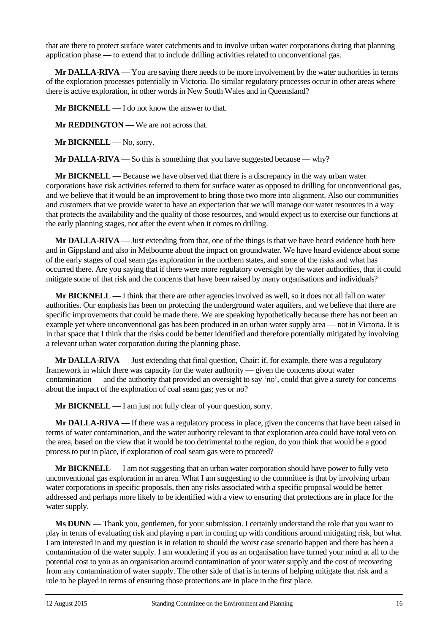that are there to protect surface water catchments and to involve urban water corporations during that planning application phase — to extend that to include drilling activities related to unconventional gas.

**Mr DALLA-RIVA** — You are saying there needs to be more involvement by the water authorities in terms of the exploration processes potentially in Victoria. Do similar regulatory processes occur in other areas where there is active exploration, in other words in New South Wales and in Queensland?

**Mr BICKNELL** — I do not know the answer to that.

**Mr REDDINGTON** — We are not across that.

Mr BICKNELL — No, sorry.

**Mr DALLA-RIVA** — So this is something that you have suggested because — why?

**Mr BICKNELL** — Because we have observed that there is a discrepancy in the way urban water corporations have risk activities referred to them for surface water as opposed to drilling for unconventional gas, and we believe that it would be an improvement to bring those two more into alignment. Also our communities and customers that we provide water to have an expectation that we will manage our water resources in a way that protects the availability and the quality of those resources, and would expect us to exercise our functions at the early planning stages, not after the event when it comes to drilling.

**Mr DALLA-RIVA** — Just extending from that, one of the things is that we have heard evidence both here and in Gippsland and also in Melbourne about the impact on groundwater. We have heard evidence about some of the early stages of coal seam gas exploration in the northern states, and some of the risks and what has occurred there. Are you saying that if there were more regulatory oversight by the water authorities, that it could mitigate some of that risk and the concerns that have been raised by many organisations and individuals?

**Mr BICKNELL** — I think that there are other agencies involved as well, so it does not all fall on water authorities. Our emphasis has been on protecting the underground water aquifers, and we believe that there are specific improvements that could be made there. We are speaking hypothetically because there has not been an example yet where unconventional gas has been produced in an urban water supply area — not in Victoria. It is in that space that I think that the risks could be better identified and therefore potentially mitigated by involving a relevant urban water corporation during the planning phase.

**Mr DALLA-RIVA** — Just extending that final question, Chair: if, for example, there was a regulatory framework in which there was capacity for the water authority — given the concerns about water contamination — and the authority that provided an oversight to say 'no', could that give a surety for concerns about the impact of the exploration of coal seam gas; yes or no?

**Mr BICKNELL** — I am just not fully clear of your question, sorry.

**Mr DALLA-RIVA** — If there was a regulatory process in place, given the concerns that have been raised in terms of water contamination, and the water authority relevant to that exploration area could have total veto on the area, based on the view that it would be too detrimental to the region, do you think that would be a good process to put in place, if exploration of coal seam gas were to proceed?

**Mr BICKNELL** — I am not suggesting that an urban water corporation should have power to fully veto unconventional gas exploration in an area. What I am suggesting to the committee is that by involving urban water corporations in specific proposals, then any risks associated with a specific proposal would be better addressed and perhaps more likely to be identified with a view to ensuring that protections are in place for the water supply.

**Ms DUNN** — Thank you, gentlemen, for your submission. I certainly understand the role that you want to play in terms of evaluating risk and playing a part in coming up with conditions around mitigating risk, but what I am interested in and my question is in relation to should the worst case scenario happen and there has been a contamination of the water supply. I am wondering if you as an organisation have turned your mind at all to the potential cost to you as an organisation around contamination of your water supply and the cost of recovering from any contamination of water supply. The other side of that is in terms of helping mitigate that risk and a role to be played in terms of ensuring those protections are in place in the first place.